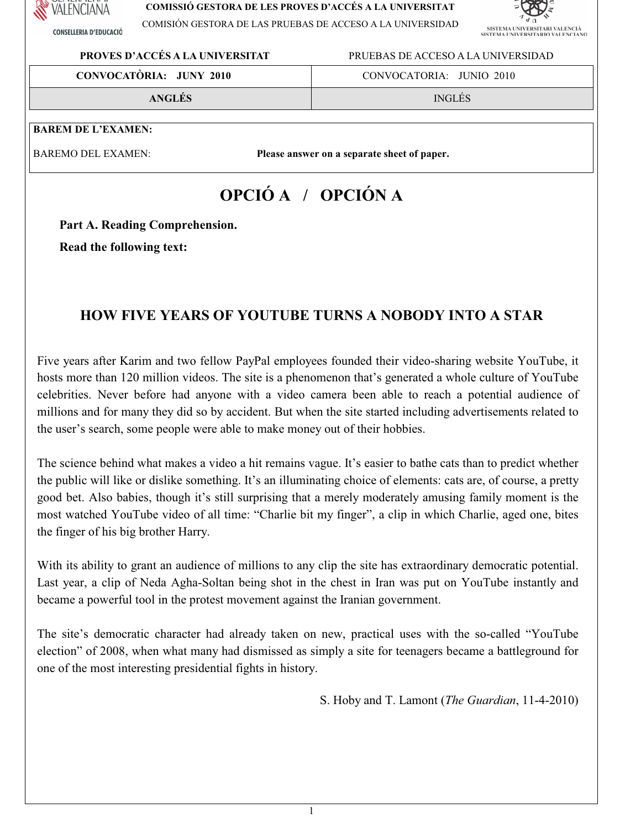

**CONSELLERIA D'EDUCACIÓ** 

#### **COMISSIÓ GESTORA DE LES PROVES D'ACCÉS A LA UNIVERSITAT**

COMISIÓN GESTORA DE LAS PRUEBAS DE ACCESO A LA UNIVERSIDAD



### **PROVES D'ACCÉS A LA UNIVERSITAT** PRUEBAS DE ACCESO A LA UNIVERSIDAD

**CONVOCATÒRIA: JUNY 2010** CONVOCATORIA: JUNIO 2010

**ANGLÉS** INGLÉS

### **BAREM DE L'EXAMEN:**

BAREMO DEL EXAMEN: **Please answer on a separate sheet of paper.** 

# **OPCIÓ A / OPCIÓN A**

Part A. Reading Comprehension.

**Read the following text:** 

# **HOW FIVE YEARS OFYOUTUBE TURNS A NOBODY INTO A STAR**

Five years after Karim and two fellow PayPal employees founded their video-sharing website YouTube, it hosts more than 120 million videos. The site is a phenomenon that's generated a whole culture of YouTube celebrities. Never before had anyone with a video camera been able to reach a potential audience of millions and for many they did so by accident. But when the site started including advertisements related to the user's search, some people were able to make money out of their hobbies.

The science behind what makes a video a hit remains vague. It's easier to bathe cats than to predict whether the public will like or dislike something. It's an illuminating choice of elements: cats are, of course, a pretty good bet. Also babies, though it's still surprising that a merely moderately amusing family moment is the most watched YouTube video of all time: "Charlie bit my finger", a clip in which Charlie, aged one, bites the finger of his big brother Harry.

With its ability to grant an audience of millions to any clip the site has extraordinary democratic potential. Last year, a clip of Neda Agha-Soltan being shot in the chest in Iran was put on YouTube instantly and became a powerful tool in the protest movement against the Iranian government.

The site's democratic character had already taken on new, practical uses with the so-called "YouTube" election" of 2008, when what many had dismissed as simply a site for teenagers became a battleground for one of the most interesting presidential fights in history.

S. HobyandT. Lamont(*The Guardian*,11-4-2010)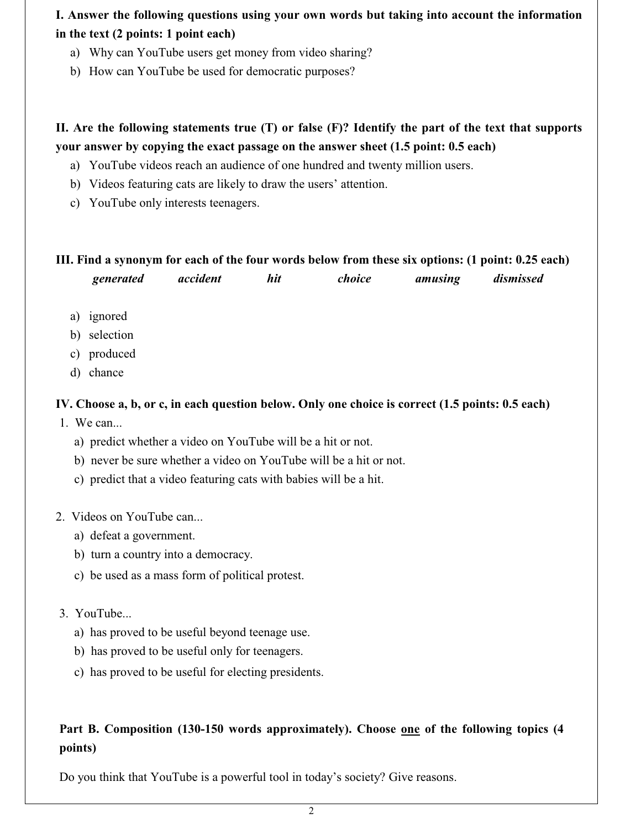**I. Answer the following questions using your own words but taking into account the information** in the text (2 points: 1 point each)

- a) Why can YouTube users get money from video sharing?
- b) How can YouTube be used for democratic purposes?

## II. Are the following statements true (T) or false (F)? Identify the part of the text that supports your answer by copying the exact passage on the answer sheet (1.5 point: 0.5 each)

- a) YouTube videos reach an audience of one hundred and twenty million users.
- b) Videos featuring cats are likely to draw the users' attention.
- c) YouTube only interests teenagers.

# **III.Findasynonym foreachofthefourwordsbelow from thesesixoptions:(1point:0.25each)**

| generated | accident | hit | choice | amusing | dismissed |
|-----------|----------|-----|--------|---------|-----------|
|-----------|----------|-----|--------|---------|-----------|

- a) ignored
- b) selection
- c) produced
- d) chance

### IV. Choose a, b, or c, in each question below. Only one choice is correct (1.5 points: 0.5 each)

1. We can...

- a) predict whether a video on YouTube will be a hit or not.
- b) never be sure whether a video on YouTube will be a hit or not.
- c) predict that a video featuring cats with babies will be a hit.
- 2. Videos on YouTube can...
	- a) defeat a government.
	- b) turn a country into a democracy.
	- c) be used as a mass form of political protest.

### 3. YouTube...

- a) has proved to be useful beyond teenage use.
- b) has proved to be useful only for teenagers.
- c) has proved to be useful for electing presidents.

# **Part B. Composition (130-150 words approximately). Choose <u>one</u> of the following topics (4 points)**

Do you think that YouTube is a powerful tool in today's society? Give reasons.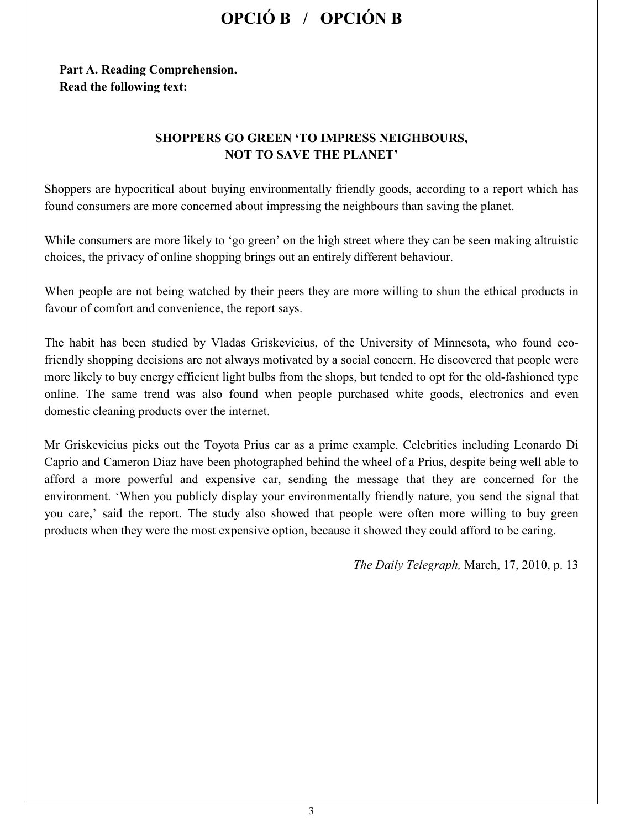# **OPCIÓ B / OPCIÓN B**

### Part A. Reading Comprehension. **Read the following text:**

### **SHOPPERS GO GREEN 'TO IMPRESS NEIGHBOURS, NOT TO SAVE THE PLANET'**

Shoppers are hypocritical about buying environmentally friendly goods, according to a report which has found consumers are more concerned about impressing the neighbours than saving the planet.

While consumers are more likely to 'go green' on the high street where they can be seen making altruistic choices, the privacy of online shopping brings out an entirely different behaviour.

When people are not being watched by their peers they are more willing to shun the ethical products in favour of comfort and convenience, the report says.

The habit has been studied by Vladas Griskevicius, of the University of Minnesota, who found ecofriendly shopping decisions are not always motivated by a social concern. He discovered that people were more likely to buy energy efficient light bulbs from the shops, but tended to opt for the old-fashioned type online. The same trend was also found when people purchased white goods, electronics and even domestic cleaning products over the internet.

Mr Griskevicius picks out the Toyota Prius car as a prime example. Celebrities including Leonardo Di Caprio and Cameron Diaz have been photographed behind the wheel of a Prius, despite being well able to afford a more powerful and expensive car, sending the message that they are concerned for the environment. 'When you publicly display your environmentally friendly nature, you send the signal that you care,' said the report. The study also showed that people were often more willing to buy green products when they were the most expensive option, because it showed they could afford to be caring.

*The Daily Telegraph, March, 17, 2010, p. 13*